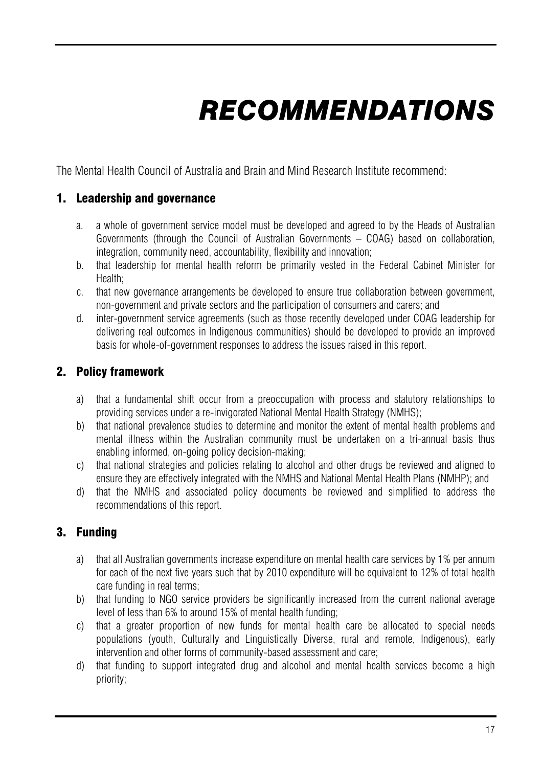# *RECOMMENDATIONS*

The Mental Health Council of Australia and Brain and Mind Research Institute recommend:

## 1. Leadership and governance

- a. a whole of government service model must be developed and agreed to by the Heads of Australian Governments (through the Council of Australian Governments – COAG) based on collaboration, integration, community need, accountability, flexibility and innovation;
- b. that leadership for mental health reform be primarily vested in the Federal Cabinet Minister for Health;
- c. that new governance arrangements be developed to ensure true collaboration between government, non-government and private sectors and the participation of consumers and carers; and
- d. inter-government service agreements (such as those recently developed under COAG leadership for delivering real outcomes in Indigenous communities) should be developed to provide an improved basis for whole-of-government responses to address the issues raised in this report.

## 2. Policy framework

- a) that a fundamental shift occur from a preoccupation with process and statutory relationships to providing services under a re-invigorated National Mental Health Strategy (NMHS);
- b) that national prevalence studies to determine and monitor the extent of mental health problems and mental illness within the Australian community must be undertaken on a tri-annual basis thus enabling informed, on-going policy decision-making;
- c) that national strategies and policies relating to alcohol and other drugs be reviewed and aligned to ensure they are effectively integrated with the NMHS and National Mental Health Plans (NMHP); and
- d) that the NMHS and associated policy documents be reviewed and simplified to address the recommendations of this report.

# 3. Funding

- a) that all Australian governments increase expenditure on mental health care services by 1% per annum for each of the next five years such that by 2010 expenditure will be equivalent to 12% of total health care funding in real terms;
- b) that funding to NGO service providers be significantly increased from the current national average level of less than 6% to around 15% of mental health funding;
- c) that a greater proportion of new funds for mental health care be allocated to special needs populations (youth, Culturally and Linguistically Diverse, rural and remote, Indigenous), early intervention and other forms of community-based assessment and care;
- d) that funding to support integrated drug and alcohol and mental health services become a high priority;